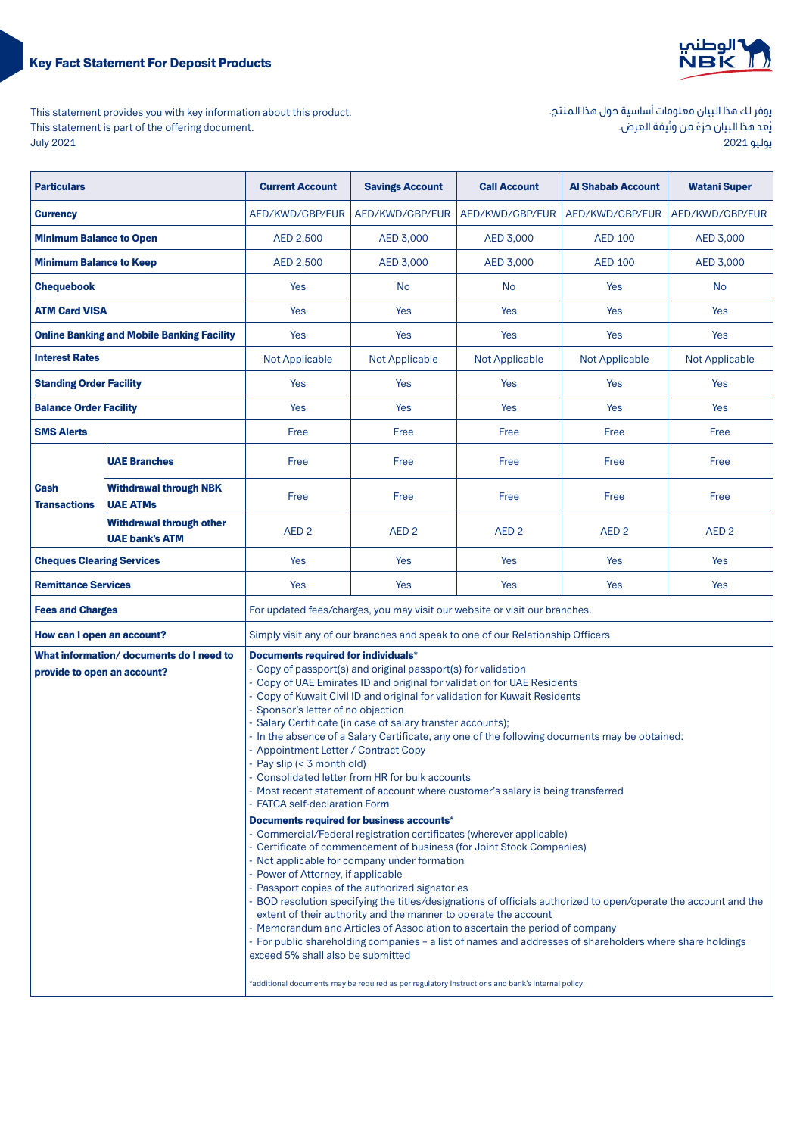# **Key Fact Statement For Deposit Products**



This statement provides you with key information about this product. This statement is part of the offering document. 2021 July

| يوفر لك هذا البيان معلومات أساسية حول هذا المنتج. |
|---------------------------------------------------|
| يُعد هذا البيان جزءً من وثيقة العرض.              |
| يوليو 2021                                        |

| <b>Particulars</b>               |                                                   | <b>Current Account</b>                                                                                                                                                                                                                                                                                                                                                                                                                                                                                                                                                                                                                                                                                                                                                                                          | <b>Savings Account</b> | <b>Call Account</b>   | <b>Al Shabab Account</b> | <b>Watani Super</b>   |
|----------------------------------|---------------------------------------------------|-----------------------------------------------------------------------------------------------------------------------------------------------------------------------------------------------------------------------------------------------------------------------------------------------------------------------------------------------------------------------------------------------------------------------------------------------------------------------------------------------------------------------------------------------------------------------------------------------------------------------------------------------------------------------------------------------------------------------------------------------------------------------------------------------------------------|------------------------|-----------------------|--------------------------|-----------------------|
| <b>Currency</b>                  |                                                   | AED/KWD/GBP/EUR                                                                                                                                                                                                                                                                                                                                                                                                                                                                                                                                                                                                                                                                                                                                                                                                 | AED/KWD/GBP/EUR        | AED/KWD/GBP/EUR       | AED/KWD/GBP/EUR          | AED/KWD/GBP/EUR       |
| <b>Minimum Balance to Open</b>   |                                                   | AED 2,500                                                                                                                                                                                                                                                                                                                                                                                                                                                                                                                                                                                                                                                                                                                                                                                                       | AED 3,000              | AED 3,000             | <b>AED 100</b>           | AED 3,000             |
| <b>Minimum Balance to Keep</b>   |                                                   | AED 2,500                                                                                                                                                                                                                                                                                                                                                                                                                                                                                                                                                                                                                                                                                                                                                                                                       | AED 3,000              | AED 3,000             | <b>AED 100</b>           | AED 3,000             |
| <b>Chequebook</b>                |                                                   | Yes                                                                                                                                                                                                                                                                                                                                                                                                                                                                                                                                                                                                                                                                                                                                                                                                             | <b>No</b>              | <b>No</b>             | Yes                      | <b>No</b>             |
| <b>ATM Card VISA</b>             |                                                   | Yes                                                                                                                                                                                                                                                                                                                                                                                                                                                                                                                                                                                                                                                                                                                                                                                                             | Yes                    | Yes                   | Yes                      | Yes                   |
|                                  | <b>Online Banking and Mobile Banking Facility</b> | Yes                                                                                                                                                                                                                                                                                                                                                                                                                                                                                                                                                                                                                                                                                                                                                                                                             | <b>Yes</b>             | Yes                   | Yes                      | Yes                   |
| <b>Interest Rates</b>            |                                                   | <b>Not Applicable</b>                                                                                                                                                                                                                                                                                                                                                                                                                                                                                                                                                                                                                                                                                                                                                                                           | <b>Not Applicable</b>  | <b>Not Applicable</b> | Not Applicable           | <b>Not Applicable</b> |
| <b>Standing Order Facility</b>   |                                                   | Yes                                                                                                                                                                                                                                                                                                                                                                                                                                                                                                                                                                                                                                                                                                                                                                                                             | Yes                    | Yes                   | Yes                      | Yes                   |
| <b>Balance Order Facility</b>    |                                                   | Yes                                                                                                                                                                                                                                                                                                                                                                                                                                                                                                                                                                                                                                                                                                                                                                                                             | Yes                    | Yes                   | Yes                      | Yes                   |
| <b>SMS Alerts</b>                |                                                   | Free                                                                                                                                                                                                                                                                                                                                                                                                                                                                                                                                                                                                                                                                                                                                                                                                            | Free                   | Free                  | Free                     | Free                  |
|                                  | <b>UAE Branches</b>                               | Free                                                                                                                                                                                                                                                                                                                                                                                                                                                                                                                                                                                                                                                                                                                                                                                                            | Free                   | Free                  | Free                     | Free                  |
| Cash<br><b>Transactions</b>      | <b>Withdrawal through NBK</b><br><b>UAE ATMs</b>  | Free                                                                                                                                                                                                                                                                                                                                                                                                                                                                                                                                                                                                                                                                                                                                                                                                            | Free                   | Free                  | Free                     | Free                  |
|                                  | Withdrawal through other<br><b>UAE bank's ATM</b> | AED <sub>2</sub>                                                                                                                                                                                                                                                                                                                                                                                                                                                                                                                                                                                                                                                                                                                                                                                                | AED <sub>2</sub>       | AED <sub>2</sub>      | AED <sub>2</sub>         | AED <sub>2</sub>      |
| <b>Cheques Clearing Services</b> |                                                   | Yes                                                                                                                                                                                                                                                                                                                                                                                                                                                                                                                                                                                                                                                                                                                                                                                                             | <b>Yes</b>             | Yes                   | Yes                      | Yes                   |
| <b>Remittance Services</b>       |                                                   | Yes                                                                                                                                                                                                                                                                                                                                                                                                                                                                                                                                                                                                                                                                                                                                                                                                             | <b>Yes</b>             | Yes                   | Yes                      | Yes                   |
| <b>Fees and Charges</b>          |                                                   | For updated fees/charges, you may visit our website or visit our branches.                                                                                                                                                                                                                                                                                                                                                                                                                                                                                                                                                                                                                                                                                                                                      |                        |                       |                          |                       |
| How can I open an account?       |                                                   | Simply visit any of our branches and speak to one of our Relationship Officers                                                                                                                                                                                                                                                                                                                                                                                                                                                                                                                                                                                                                                                                                                                                  |                        |                       |                          |                       |
| provide to open an account?      | What information/documents do I need to           | Documents required for individuals*<br>- Copy of passport(s) and original passport(s) for validation<br>- Copy of UAE Emirates ID and original for validation for UAE Residents<br>- Copy of Kuwait Civil ID and original for validation for Kuwait Residents<br>- Sponsor's letter of no objection<br>- Salary Certificate (in case of salary transfer accounts);<br>- In the absence of a Salary Certificate, any one of the following documents may be obtained:<br>- Appointment Letter / Contract Copy<br>- Pay slip (< 3 month old)<br>- Consolidated letter from HR for bulk accounts<br>- Most recent statement of account where customer's salary is being transferred<br>- FATCA self-declaration Form<br>Documents required for business accounts*                                                   |                        |                       |                          |                       |
|                                  |                                                   | - Commercial/Federal registration certificates (wherever applicable)<br>- Certificate of commencement of business (for Joint Stock Companies)<br>- Not applicable for company under formation<br>- Power of Attorney, if applicable<br>- Passport copies of the authorized signatories<br>- BOD resolution specifying the titles/designations of officials authorized to open/operate the account and the<br>extent of their authority and the manner to operate the account<br>- Memorandum and Articles of Association to ascertain the period of company<br>- For public shareholding companies - a list of names and addresses of shareholders where share holdings<br>exceed 5% shall also be submitted<br>*additional documents may be required as per regulatory Instructions and bank's internal policy |                        |                       |                          |                       |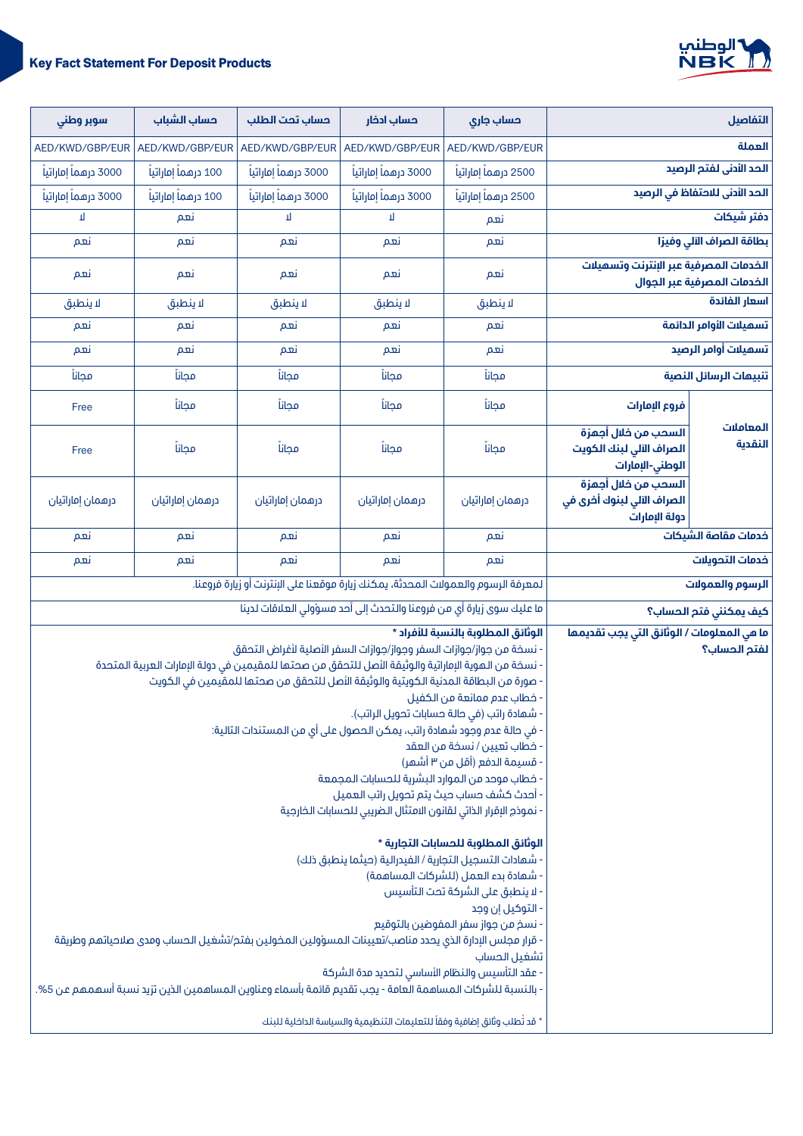

| التفاصيل                       |                                                                    | حساب جاری                                                                                                                                                                                                                                                                                                                                                                                                                                                                                                                                                                                                                                                                                                                                                                                                                                                                                                                                                                                                                                                                                                                                                                                                                                        | حساب ادخار                                                                        | حساب تحت الطلب        | حساب الشباب          | سوبر وطنى             |
|--------------------------------|--------------------------------------------------------------------|--------------------------------------------------------------------------------------------------------------------------------------------------------------------------------------------------------------------------------------------------------------------------------------------------------------------------------------------------------------------------------------------------------------------------------------------------------------------------------------------------------------------------------------------------------------------------------------------------------------------------------------------------------------------------------------------------------------------------------------------------------------------------------------------------------------------------------------------------------------------------------------------------------------------------------------------------------------------------------------------------------------------------------------------------------------------------------------------------------------------------------------------------------------------------------------------------------------------------------------------------|-----------------------------------------------------------------------------------|-----------------------|----------------------|-----------------------|
| العملة                         |                                                                    | AED/KWD/GBP/EUR                                                                                                                                                                                                                                                                                                                                                                                                                                                                                                                                                                                                                                                                                                                                                                                                                                                                                                                                                                                                                                                                                                                                                                                                                                  | AED/KWD/GBP/EUR                                                                   | AED/KWD/GBP/EUR       | AED/KWD/GBP/EUR      | AED/KWD/GBP/EUR       |
| الحد الأدنى لفتم الرصيد        |                                                                    | 2500 درهماً إماراتياً                                                                                                                                                                                                                                                                                                                                                                                                                                                                                                                                                                                                                                                                                                                                                                                                                                                                                                                                                                                                                                                                                                                                                                                                                            | 3000 درهماً إماراتياً                                                             | 3000 درهماً إماراتياً | 100 درهماً إماراتياً | 3000 درهماً إماراتياً |
| الحد الأدنى للاحتفاظ في الرصيد |                                                                    | 2500 درهماً إماراتياً                                                                                                                                                                                                                                                                                                                                                                                                                                                                                                                                                                                                                                                                                                                                                                                                                                                                                                                                                                                                                                                                                                                                                                                                                            | 3000 درهماً إماراتياً                                                             | 3000 درهماً إماراتياً | 100 درهماً إماراتياً | 3000 درهماً إماراتياً |
| دفتر شيكات                     |                                                                    | نعم                                                                                                                                                                                                                                                                                                                                                                                                                                                                                                                                                                                                                                                                                                                                                                                                                                                                                                                                                                                                                                                                                                                                                                                                                                              | Л                                                                                 | П                     | نعم                  | П                     |
| بطاقة الصراف الآلي وفيزا       |                                                                    | نعم                                                                                                                                                                                                                                                                                                                                                                                                                                                                                                                                                                                                                                                                                                                                                                                                                                                                                                                                                                                                                                                                                                                                                                                                                                              | نعم                                                                               | نعم                   | نعم                  | نعم                   |
| الخدمات المصرفية عبر الجوال    | الخدمات المصرفية عبر الإنترنت وتسميلات                             | نعم                                                                                                                                                                                                                                                                                                                                                                                                                                                                                                                                                                                                                                                                                                                                                                                                                                                                                                                                                                                                                                                                                                                                                                                                                                              | نعم                                                                               | نعم                   | نعم                  | نعم                   |
| اسعار الفائدة                  |                                                                    | لا ينطبق                                                                                                                                                                                                                                                                                                                                                                                                                                                                                                                                                                                                                                                                                                                                                                                                                                                                                                                                                                                                                                                                                                                                                                                                                                         | لا ينطبق                                                                          | لا ينطبق              | لا ينطبق             | لا ينطبق              |
| تسميلات الأوامر الدائمة        |                                                                    | نعم                                                                                                                                                                                                                                                                                                                                                                                                                                                                                                                                                                                                                                                                                                                                                                                                                                                                                                                                                                                                                                                                                                                                                                                                                                              | نعم                                                                               | نعم                   | نعم                  | نعم                   |
| تسهيلات أوامر الرصيد           |                                                                    | نعم                                                                                                                                                                                                                                                                                                                                                                                                                                                                                                                                                                                                                                                                                                                                                                                                                                                                                                                                                                                                                                                                                                                                                                                                                                              | نعم                                                                               | نعم                   | نعم                  | نعم                   |
| تنبيهات الرسائل النصية         |                                                                    | مجانا                                                                                                                                                                                                                                                                                                                                                                                                                                                                                                                                                                                                                                                                                                                                                                                                                                                                                                                                                                                                                                                                                                                                                                                                                                            | مجانآ                                                                             | مجانآ                 | مجاناً               | مجانآ                 |
|                                | فروع الإمارات                                                      | مجانآ                                                                                                                                                                                                                                                                                                                                                                                                                                                                                                                                                                                                                                                                                                                                                                                                                                                                                                                                                                                                                                                                                                                                                                                                                                            | مجانآ                                                                             | مجانآ                 | مجانآ                | Free                  |
| المعاملات<br>النقدية           | السحب من خلال أجمزة<br>الصراف الآلي لبنك الكويت<br>الوطني-الإمارات | مجانآ                                                                                                                                                                                                                                                                                                                                                                                                                                                                                                                                                                                                                                                                                                                                                                                                                                                                                                                                                                                                                                                                                                                                                                                                                                            | مجانآ                                                                             | محانا                 | مجانآ                | Free                  |
|                                | السحب من خلال أجمزة<br>الصراف الآلي لبنوك أخرى في<br>دولة الإمارات | درهمان إماراتيان                                                                                                                                                                                                                                                                                                                                                                                                                                                                                                                                                                                                                                                                                                                                                                                                                                                                                                                                                                                                                                                                                                                                                                                                                                 | درهمان إماراتيان                                                                  | درهمان إماراتيان      | درهمان إماراتيان     | درهمان إماراتيان      |
| خدمات مقاصة الشيكات            |                                                                    | نعم                                                                                                                                                                                                                                                                                                                                                                                                                                                                                                                                                                                                                                                                                                                                                                                                                                                                                                                                                                                                                                                                                                                                                                                                                                              | نعم                                                                               | نعم                   | نعم                  | نعم                   |
| خدمات التحويلات                |                                                                    | نعم                                                                                                                                                                                                                                                                                                                                                                                                                                                                                                                                                                                                                                                                                                                                                                                                                                                                                                                                                                                                                                                                                                                                                                                                                                              | نعم                                                                               | نعم                   | نعم                  | نعم                   |
| الرسوم والعمولات               |                                                                    |                                                                                                                                                                                                                                                                                                                                                                                                                                                                                                                                                                                                                                                                                                                                                                                                                                                                                                                                                                                                                                                                                                                                                                                                                                                  | لمعرفة الرسوم والعمولات المحدثة، يمكنك زيارة موقعنا على الإنترنت أو زيارة فروعنا. |                       |                      |                       |
| كيف يمكننى فتم الحساب؟         |                                                                    |                                                                                                                                                                                                                                                                                                                                                                                                                                                                                                                                                                                                                                                                                                                                                                                                                                                                                                                                                                                                                                                                                                                                                                                                                                                  | ما عليك سوى زيارة أي من فروعنا والتحدث إلى أحد مسؤولى العلاقات لدينا              |                       |                      |                       |
| لفتم الحساب؟                   | ما هي المعلومات / الوثائق التي يجب تقديمها                         | الوثائق المطلوبة بالنسبة للأفراد *<br>- نسخة من جواز/جوازات السفر وجواز/جوازات السفر الأصلية لأغراض التحقق<br>· نسخة من الـموية الإماراتية والوثيقة الأصل للتحقق من صحتها للمقيمين في دولة الإمارات العربية المتحدة<br>· صورة من البطاقة المدنية الكويتية والوثيقة الأصل للتحقق من صحتها للمقيمين في الكويت<br>· خطاب عدم ممانعة من الكفيل<br>· شهادة راتب (في حالة حسابات تحويل الراتب).<br>- في حالة عدم وجود شهادة راتب، يمكن الحصول على أي من المستندات التالية:<br>- خطاب تعيين / نسخة من العقد<br>- قسيمة الدفع (أقل من ٣ أشهر)<br>· خطاب موحد من الموارد البشرية للحسابات المجمعة<br>- أحدث كشف حساب حيث يتم تحويل راتب العميل<br>· نموذج الإقرار الذاتي لقانون الامتثال الضريبي للحسابات الخارجية<br>الوثائق المطلوبة للحسابات التجارية *<br>- شهادات التسجيل التجارية / الفيدرالية (حيثما ينطبق ذلك)<br>- شهادة بدء العمل (للشركات المساهمة)<br>· لا ينطبق على الشركة تحت التأسيس<br>- التوكيل إن وجد<br>· نسخ من جواز سفر المفوضين بالتوقيع<br>- قرار مجلس الإدارة الذي يحدد مناصب/تعيينات المسؤولين المخولين بفتح/تشغيل الحساب ومدى صلاحياتهم وطريقة<br>تشغيل الحساب<br>· عقد التأسيس والنظام الأساسي لتحديد مدة الشركة<br>· بالنسبة للشركات المساهمة العامة - يجب تقديم قائمة بأسماء وعناوين المساهمين الذين تزيد نسبة أسهمهم عن 5%. |                                                                                   |                       |                      |                       |
|                                |                                                                    | * قد تُطلب وثائق إضافية وفقاً للتعليمات التنظيمية والسياسة الداخلية للبنك                                                                                                                                                                                                                                                                                                                                                                                                                                                                                                                                                                                                                                                                                                                                                                                                                                                                                                                                                                                                                                                                                                                                                                        |                                                                                   |                       |                      |                       |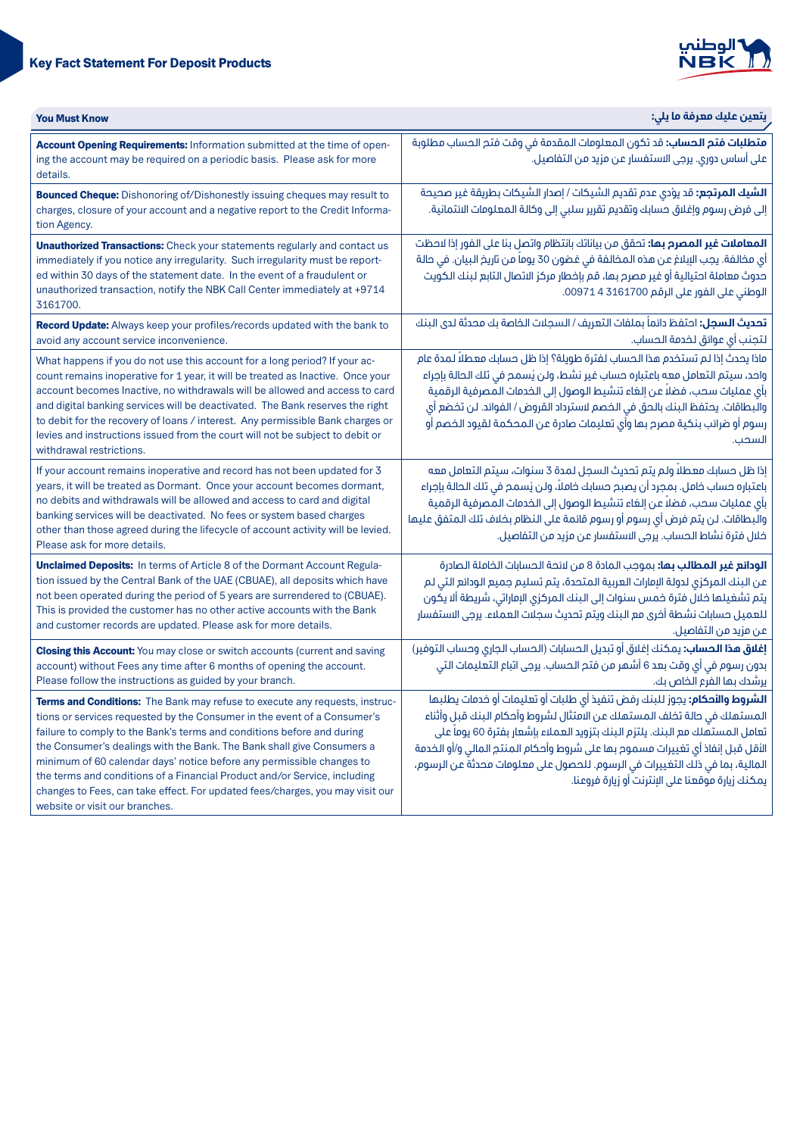# **Key Fact Statement For Deposit Products**



| <b>You Must Know</b>                                                                                                                                                                                                                                                                                                                                                                                                                                                                                                                                                                 | يتعين عليك معرفة ما يلي:                                                                                                                                                                                                                                                                                                                                                                                                                                            |
|--------------------------------------------------------------------------------------------------------------------------------------------------------------------------------------------------------------------------------------------------------------------------------------------------------------------------------------------------------------------------------------------------------------------------------------------------------------------------------------------------------------------------------------------------------------------------------------|---------------------------------------------------------------------------------------------------------------------------------------------------------------------------------------------------------------------------------------------------------------------------------------------------------------------------------------------------------------------------------------------------------------------------------------------------------------------|
| Account Opening Requirements: Information submitted at the time of open-<br>ing the account may be required on a periodic basis. Please ask for more<br>details.                                                                                                                                                                                                                                                                                                                                                                                                                     | <b>متطلبات فتم الحساب:</b> قد تكون المعلومات المقدمة في وقت فتم الحساب مطلوبة<br>على أساس دوري. يرجى الاستفسار عن مزيد من التفاصيل.                                                                                                                                                                                                                                                                                                                                 |
| <b>Bounced Cheque:</b> Dishonoring of/Dishonestly issuing cheques may result to<br>charges, closure of your account and a negative report to the Credit Informa-<br>tion Agency.                                                                                                                                                                                                                                                                                                                                                                                                     | <b>الشيك المرتجع:</b> قد يؤدي عدم تقديم الشيكات / إصدار الشيكات بطريقة غير صحيحة<br>إلى فرض رسوم وإغلاق حسابك وتقديم تقرير سلبي إلى وكالة المعلومات الائتمانية.                                                                                                                                                                                                                                                                                                     |
| <b>Unauthorized Transactions:</b> Check your statements regularly and contact us<br>immediately if you notice any irregularity. Such irregularity must be report-<br>ed within 30 days of the statement date. In the event of a fraudulent or<br>unauthorized transaction, notify the NBK Call Center immediately at +9714<br>3161700.                                                                                                                                                                                                                                               | <mark>المعاملات غير المصرح بها:</mark> تحقق من بياناتك بانتظام واتصل بنا على الفور إذا لاحظت<br>أى مخالفة. يجب الإبلاغ عن هذه المخالفة في غضون 30 يوماً من تاريخ البيان. في حالة<br>حدوث معاملة احتيالية أو غير مصرح بها، قم بإخطار مركز الاتصال التابع لبنك الكويت<br>الوطني على الفور على الرقم 3161700 4 00971.                                                                                                                                                  |
| Record Update: Always keep your profiles/records updated with the bank to<br>avoid any account service inconvenience.                                                                                                                                                                                                                                                                                                                                                                                                                                                                | <b>تحديث السجل:</b> احتفظ دائماً بملفات التعريف / السجلات الخاصة بك محدثة لدى البنك<br>لتجنب أى عوائق لخدمة الحساب.                                                                                                                                                                                                                                                                                                                                                 |
| What happens if you do not use this account for a long period? If your ac-<br>count remains inoperative for 1 year, it will be treated as Inactive. Once your<br>account becomes Inactive, no withdrawals will be allowed and access to card<br>and digital banking services will be deactivated. The Bank reserves the right<br>to debit for the recovery of loans / interest. Any permissible Bank charges or<br>levies and instructions issued from the court will not be subject to debit or<br>withdrawal restrictions.                                                         | ماذا يحدث إذا لم تستخدم هذا الحساب لفترة طويلة؟ إذا ظل حسابك معطلاً لمدة عام<br>واحد، سيتم التعامل معه باعتباره حساب غير نشط، ولن يُسمح في تلك الحالة بإجراء<br>بأى عمليات سحب، فضلاً عن إلغاء تنشيط الوصول إلى الخدمات المصرفية الرقمية<br>والبطاقات. يحتفظ البنك بالحق في الخصم لاسترداد القروض / الفوائد. لن تخضع أي<br>رسوم أو ضرائب بنكية مصرح بها وأي تعليمات صادرة عن المحكمة لقيود الخصم أو<br>السحب.                                                       |
| If your account remains inoperative and record has not been updated for 3<br>years, it will be treated as Dormant. Once your account becomes dormant,<br>no debits and withdrawals will be allowed and access to card and digital<br>banking services will be deactivated. No fees or system based charges<br>other than those agreed during the lifecycle of account activity will be levied.<br>Please ask for more details.                                                                                                                                                       | إذا ظل حسابك معطلاً ولم يتم تحديث السجل لمدة 3 سنوات، سيتم التعامل معه<br>باعتباره حساب خامل. بمجرد أن يصبح حسابك خاملاً، ولن يُسمح في تلك الحالة بإجراء<br>بأي عمليات سحب، فضلاً عن إلغاء تنشيط الوصول إلى الخدمات المصرفية الرقمية<br>والبطاقات. لن يتم فرض أي رسوم أو رسوم قائمة على النظام بخلاف تلك المتفق عليها<br>خلال فترة نشاط الحساب. يرجى الاستفسار عن مزيد من التفاصيل.                                                                                 |
| <b>Unclaimed Deposits:</b> In terms of Article 8 of the Dormant Account Regula-<br>tion issued by the Central Bank of the UAE (CBUAE), all deposits which have<br>not been operated during the period of 5 years are surrendered to (CBUAE).<br>This is provided the customer has no other active accounts with the Bank<br>and customer records are updated. Please ask for more details.                                                                                                                                                                                           | <b>الودائع غير المطالب بها:</b> بموجب المادة 8 من لائحة الحسابات الخاملة الصادرة<br>عن البنك المركزي لدولة الإمارات العربية المتحدة، يتم تسليم جميع الودائع التي لم<br>يتم تشغيلها خلال فترة خمس سنوات إلى البنك المركزي الإماراتي، شريطة ألا يكون<br>للعميل حسابات نشطة أخرى مع البنك ويتم تحديث سجلات العملاء. يرجى الاستفسار<br>عن مزيد من التفاصيل.                                                                                                             |
| <b>Closing this Account:</b> You may close or switch accounts (current and saving<br>account) without Fees any time after 6 months of opening the account.<br>Please follow the instructions as guided by your branch.                                                                                                                                                                                                                                                                                                                                                               | <b>إغلاق هذا الحساب:</b> يمكنك إغلاق أو تبديل الحسابات (الحساب الجارى وحساب التوفير)<br>بدون رسوم في أي وقت بعد 6 أشهر من فتح الحساب. يرجى اتباع التعليمات التي<br>يرشدك بها الفرع الخاص بك.                                                                                                                                                                                                                                                                        |
| Terms and Conditions: The Bank may refuse to execute any requests, instruc-<br>tions or services requested by the Consumer in the event of a Consumer's<br>failure to comply to the Bank's terms and conditions before and during<br>the Consumer's dealings with the Bank. The Bank shall give Consumers a<br>minimum of 60 calendar days' notice before any permissible changes to<br>the terms and conditions of a Financial Product and/or Service, including<br>changes to Fees, can take effect. For updated fees/charges, you may visit our<br>website or visit our branches. | <b>الشروط والأحكام:</b> يجوز للبنك رفض تنفيذ أي طلبات أو تعليمات أو خدمات يطلبها<br>المستهلك في حالة تخلف المستهلك عن الامتثال لشروط وأحكام البنك قبل وأثناء<br>تعامل المستهلك مع البنك. يلتزم البنك بتزويد العملاء بإشعار بفترة 60 يوماً على<br>الأقل قبل إنفاذ أي تغييرات مسموم بها على شروط وأحكام المنتج المالي و/أو الخدمة<br>المالية، بما في ذلك التغييرات في الرسوم. للحصول على معلومات محدثة عن الرسوم،<br>يمكنك زيارة موقعنا على الإنترنت أو زيارة فروعنا. |